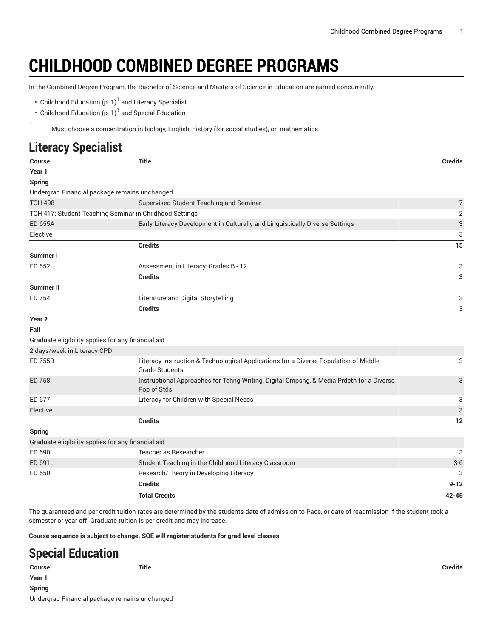## **CHILDHOOD COMBINED DEGREE PROGRAMS**

In the Combined Degree Program, the Bachelor of Science and Masters of Science in Education are earned concurrently.

- Childhood [Education \(p. 1](#page-0-0)) $^{\rm l}$  and Literacy Specialist
- Childhood [Education \(p. 1](#page-0-1)) $^{\rm l}$  and Special Education
- <span id="page-0-0"></span><sup>1</sup> Must choose <sup>a</sup> concentration in biology, English, history (for social studies), or mathematics.

## **Literacy Specialist**

| Course                                                  | <b>Title</b>                                                                                                  | <b>Credits</b> |
|---------------------------------------------------------|---------------------------------------------------------------------------------------------------------------|----------------|
| Year 1                                                  |                                                                                                               |                |
| <b>Spring</b>                                           |                                                                                                               |                |
| Undergrad Financial package remains unchanged           |                                                                                                               |                |
| <b>TCH 498</b>                                          | Supervised Student Teaching and Seminar                                                                       | $\sqrt{ }$     |
| TCH 417: Student Teaching Seminar in Childhood Settings |                                                                                                               | 2              |
| <b>ED 655A</b>                                          | Early Literacy Development in Culturally and Linguistically Diverse Settings                                  | 3              |
| Elective                                                |                                                                                                               | 3              |
|                                                         | <b>Credits</b>                                                                                                | 15             |
| Summer I                                                |                                                                                                               |                |
| ED 652                                                  | Assessment in Literacy: Grades B - 12                                                                         | 3              |
|                                                         | <b>Credits</b>                                                                                                | 3              |
| <b>Summer II</b>                                        |                                                                                                               |                |
| ED 754                                                  | Literature and Digital Storytelling                                                                           | 3              |
|                                                         | <b>Credits</b>                                                                                                | 3              |
| Year <sub>2</sub>                                       |                                                                                                               |                |
| Fall                                                    |                                                                                                               |                |
| Graduate eligibility applies for any financial aid      |                                                                                                               |                |
| 2 days/week in Literacy CPD                             |                                                                                                               |                |
| <b>ED 755B</b>                                          | Literacy Instruction & Technological Applications for a Diverse Population of Middle<br><b>Grade Students</b> | 3              |
| ED 758                                                  | Instructional Approaches for Tchng Writing, Digital Cmpsng, & Media Prdctn for a Diverse<br>Pop of Stds       | 3              |
| ED 677                                                  | Literacy for Children with Special Needs                                                                      | 3              |
| Elective                                                |                                                                                                               | 3              |
|                                                         | <b>Credits</b>                                                                                                | 12             |
| <b>Spring</b>                                           |                                                                                                               |                |
| Graduate eligibility applies for any financial aid      |                                                                                                               |                |
| ED 690                                                  | Teacher as Researcher                                                                                         | 3              |
| ED 691L                                                 | Student Teaching in the Childhood Literacy Classroom                                                          | $3-6$          |
| ED 650                                                  | Research/Theory in Developing Literacy                                                                        | 3              |
|                                                         | <b>Credits</b>                                                                                                | $9 - 12$       |
|                                                         | <b>Total Credits</b>                                                                                          | $42 - 45$      |
|                                                         |                                                                                                               |                |

The guaranteed and per credit tuition rates are determined by the students date of admission to Pace, or date of readmission if the student took a semester or year off. Graduate tuition is per credit and may increase.

<span id="page-0-1"></span>**Course sequence is subject to change. SOE will register students for grad level classes**

## **Special Education**

**Course Title Credits Year 1 Spring** Undergrad Financial package remains unchanged